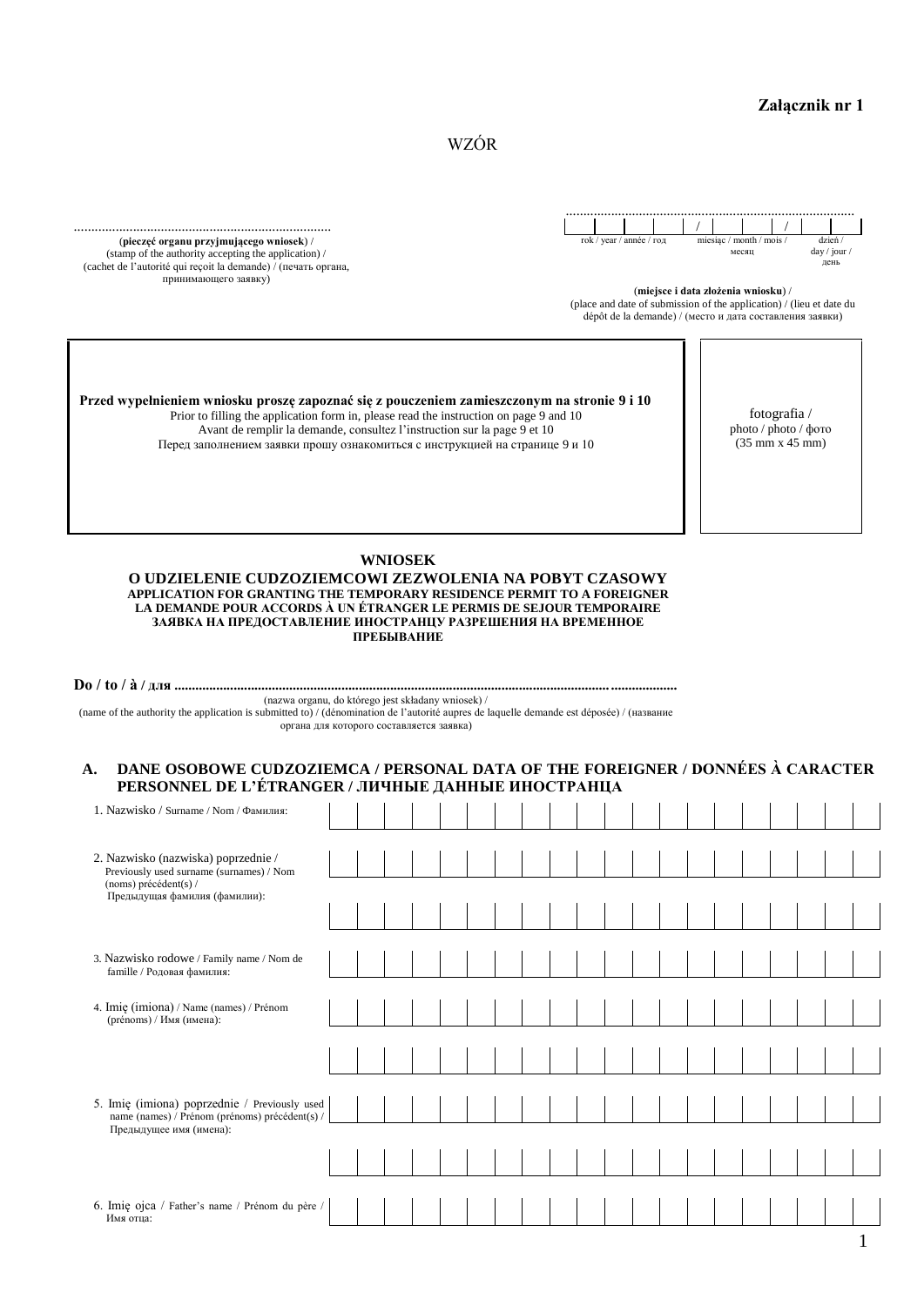WZÓR

(**pieczęć organu przyjmującego wniosek**) / (stamp of the authority accepting the application) / (cachet de l'autorité qui reçoit la demande) / (печать органа, принимающего заявку)



(**miejsce i data złożenia wniosku**) /

(place and date of submission of the application) / (lieu et date du dépôt de la demande) / (место и дата составления заявки)

> fotografia / photo / photo / фото (35 mm x 45 mm)

**Przed wypełnieniem wniosku proszę zapoznać się z pouczeniem zamieszczonym na stronie 9 i 10** Prior to filling the application form in, please read the instruction on page 9 and 10 Avant de remplir la demande, consultez l'instruction sur la page 9 et 10 Перед заполнением заявки прошу ознакомиться с инструкцией на странице 9 и 10

**WNIOSEK**

**O UDZIELENIE CUDZOZIEMCOWI ZEZWOLENIA NA POBYT CZASOWY APPLICATION FOR GRANTING THE TEMPORARY RESIDENCE PERMIT TO A FOREIGNER LA DEMANDE POUR ACCORDS À UN ÉTRANGER LE PERMIS DE SEJOUR TEMPORAIRE ЗАЯВКА НА ПРЕДОСТАВЛЕНИЕ ИНОСТРАНЦУ РАЗРЕШЕНИЯ НА ВРЕМЕННОЕ ПРЕБЫВАНИЕ**

**Do / to / à / для ................................................................................................................................................** (nazwa organu, do którego jest składany wniosek) / (name of the authority the application is submitted to) / (dénomination de l'autorité aupres de laquelle demande est déposée) / (название органа для которого составляется заявка)

# **A. DANE OSOBOWE CUDZOZIEMCA / PERSONAL DATA OF THE FOREIGNER / DONNÉES À CARACTER PERSONNEL DE L'ÉTRANGER / ЛИЧНЫЕ ДАННЫЕ ИНОСТРАНЦА**

| 1. Nazwisko / Surname / Nom / Фамилия:                                                                                     |  |  |  |  |  |  |  |  |  |  |
|----------------------------------------------------------------------------------------------------------------------------|--|--|--|--|--|--|--|--|--|--|
| 2. Nazwisko (nazwiska) poprzednie /                                                                                        |  |  |  |  |  |  |  |  |  |  |
| Previously used surname (surnames) / Nom<br>(noms) précédent(s) /<br>Предыдущая фамилия (фамилии):                         |  |  |  |  |  |  |  |  |  |  |
|                                                                                                                            |  |  |  |  |  |  |  |  |  |  |
| 3. Nazwisko rodowe / Family name / Nom de                                                                                  |  |  |  |  |  |  |  |  |  |  |
| famille / Родовая фамилия:                                                                                                 |  |  |  |  |  |  |  |  |  |  |
| 4. Imię (imiona) / Name (names) / Prénom<br>(prénoms) / Имя (имена):                                                       |  |  |  |  |  |  |  |  |  |  |
|                                                                                                                            |  |  |  |  |  |  |  |  |  |  |
|                                                                                                                            |  |  |  |  |  |  |  |  |  |  |
| 5. Imię (imiona) poprzednie / Previously used<br>name (names) / Prénom (prénoms) précédent(s) /<br>Предыдущее имя (имена): |  |  |  |  |  |  |  |  |  |  |
|                                                                                                                            |  |  |  |  |  |  |  |  |  |  |
|                                                                                                                            |  |  |  |  |  |  |  |  |  |  |
| 6. Imię ojca / Father's name / Prénom du père /<br>Имя отца:                                                               |  |  |  |  |  |  |  |  |  |  |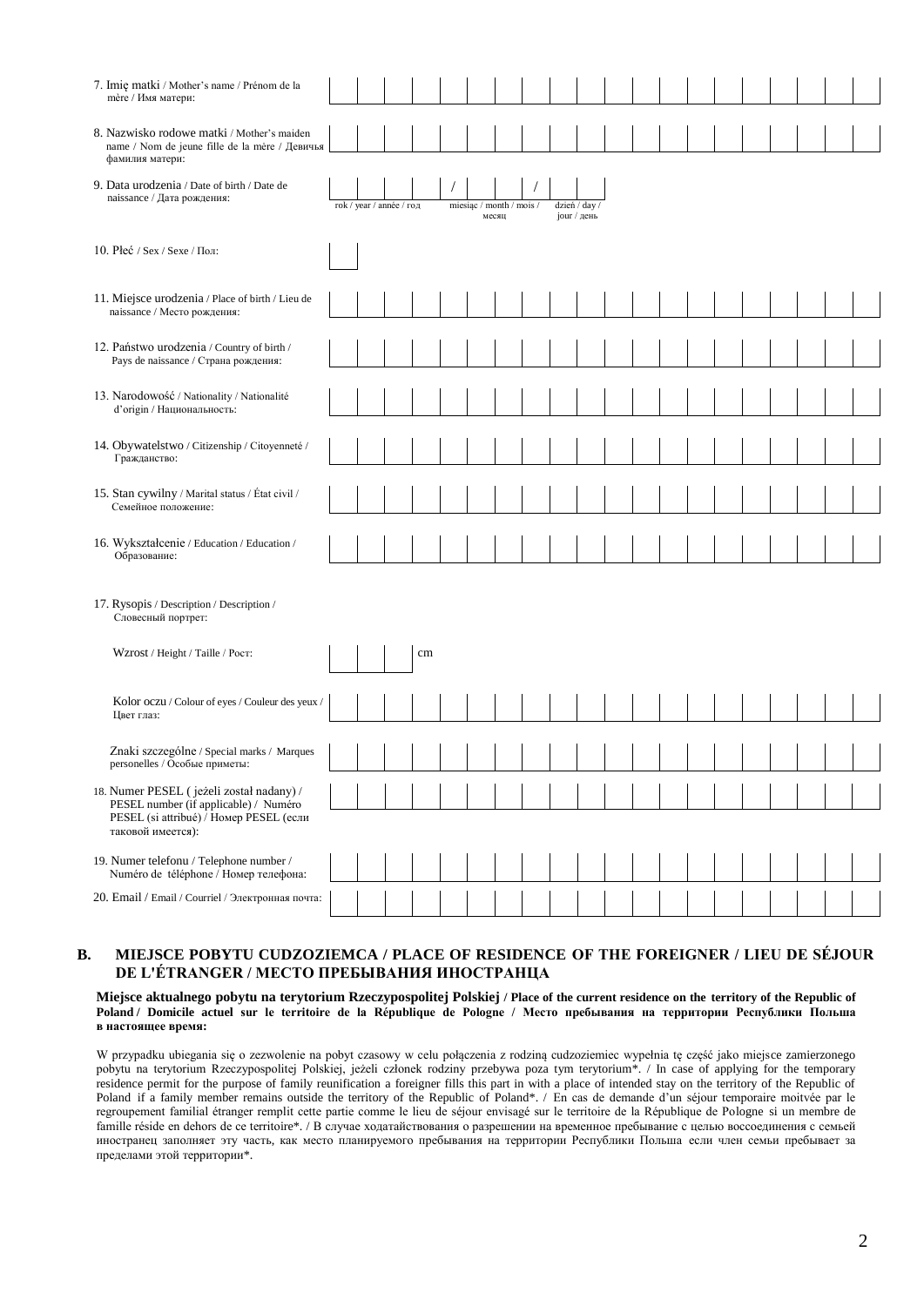| 7. Imię matki / Mother's name / Prénom de la<br>mère / Имя матери:                                                                                |                          |    |                          |       |  |                                 |  |  |  |  |  |
|---------------------------------------------------------------------------------------------------------------------------------------------------|--------------------------|----|--------------------------|-------|--|---------------------------------|--|--|--|--|--|
| 8. Nazwisko rodowe matki / Mother's maiden<br>name / Nom de jeune fille de la mère / Девичья<br>фамилия матери:                                   |                          |    |                          |       |  |                                 |  |  |  |  |  |
| 9. Data urodzenia / Date of birth / Date de<br>naissance / Дата рождения:                                                                         | rok / year / année / год |    | miesiąc / month / mois / | месяц |  | dzień / day /<br>$j$ оиг / день |  |  |  |  |  |
| 10. Рес $\frac{1}{2}$ / Sex / Sexe / Пол:                                                                                                         |                          |    |                          |       |  |                                 |  |  |  |  |  |
| 11. Miejsce urodzenia / Place of birth / Lieu de<br>naissance / Место рождения:                                                                   |                          |    |                          |       |  |                                 |  |  |  |  |  |
| 12. Państwo urodzenia / Country of birth /<br>Pays de naissance / Страна рождения:                                                                |                          |    |                          |       |  |                                 |  |  |  |  |  |
| 13. Narodowość / Nationality / Nationalité<br>d'origin / Национальность:                                                                          |                          |    |                          |       |  |                                 |  |  |  |  |  |
| 14. Obywatelstwo / Citizenship / Citoyenneté /<br>Гражданство:                                                                                    |                          |    |                          |       |  |                                 |  |  |  |  |  |
| 15. Stan cywilny / Marital status / État civil /<br>Семейное положение:                                                                           |                          |    |                          |       |  |                                 |  |  |  |  |  |
| 16. Wykształcenie / Education / Education /<br>Образование:                                                                                       |                          |    |                          |       |  |                                 |  |  |  |  |  |
| 17. Rysopis / Description / Description /<br>Словесный портрет:                                                                                   |                          |    |                          |       |  |                                 |  |  |  |  |  |
| Wzrost / Height / Taille / Рост:                                                                                                                  |                          | cm |                          |       |  |                                 |  |  |  |  |  |
| Kolor oczu / Colour of eyes / Couleur des yeux /<br>Цвет глаз:                                                                                    |                          |    |                          |       |  |                                 |  |  |  |  |  |
| Znaki szczególne / Special marks / Marques<br>personelles / Особые приметы:                                                                       |                          |    |                          |       |  |                                 |  |  |  |  |  |
| 18. Numer PESEL (jeżeli został nadany) /<br>PESEL number (if applicable) / Numéro<br>PESEL (si attribué) / Номер PESEL (если<br>таковой имеется): |                          |    |                          |       |  |                                 |  |  |  |  |  |
| 19. Numer telefonu / Telephone number /<br>Numéro de téléphone / Номер телефона:                                                                  |                          |    |                          |       |  |                                 |  |  |  |  |  |
| 20. Email / Email / Courriel / Электронная почта:                                                                                                 |                          |    |                          |       |  |                                 |  |  |  |  |  |

## **B. MIEJSCE POBYTU CUDZOZIEMCA / PLACE OF RESIDENCE OF THE FOREIGNER / LIEU DE SÉJOUR DE L'ÉTRANGER / МЕСТО ПРЕБЫВАНИЯ ИНОСТРАНЦА**

**Miejsce aktualnego pobytu na terytorium Rzeczypospolitej Polskiej / Place of the current residence on the territory of the Republic of Poland / Domicile actuel sur le territoire de la République de Pologne / Место пребывания на территории Республики Польша в настоящее время:**

W przypadku ubiegania się o zezwolenie na pobyt czasowy w celu połączenia z rodziną cudzoziemiec wypełnia tę część jako miejsce zamierzonego pobytu na terytorium Rzeczypospolitej Polskiej, jeżeli członek rodziny przebywa poza tym terytorium\*. / In case of applying for the temporary residence permit for the purpose of family reunification a foreigner fills this part in with a place of intended stay on the territory of the Republic of Poland if a family member remains outside the territory of the Republic of Poland\*. / En cas de demande d'un séjour temporaire moitvée par le regroupement familial étranger remplit cette partie comme le lieu de séjour envisagé sur le territoire de la République de Pologne si un membre de famille réside en dehors de ce territoire\*. / В случае ходатайствования о разрешении на временное пребывание с целью воссоединения с семьей иностранец заполняет эту часть, как место планируемого пребывания на территории Республики Польша если член семьи пребывает за пределами этой территории\*.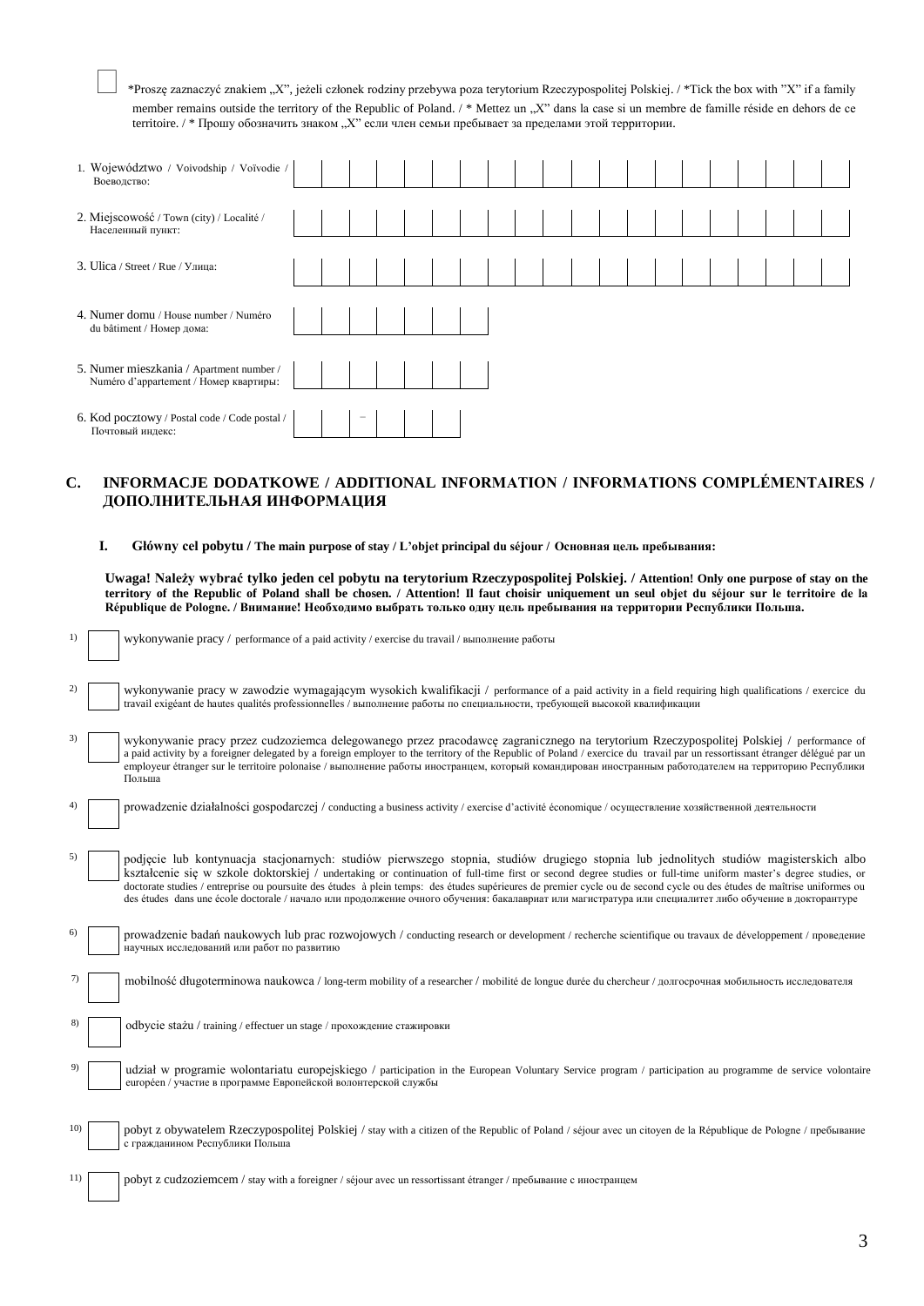\*Proszę zaznaczyć znakiem "X", jeżeli członek rodziny przebywa poza terytorium Rzeczypospolitej Polskiej. / \*Tick the box with "X" if a family member remains outside the territory of the Republic of Poland. / \* Mettez un "X" dans la case si un membre de famille réside en dehors de ce territoire. / \* Прошу обозначить знаком "Х" если член семьи пребывает за пределами этой территории.

| 1. Województwo / Voivodship / Voïvodie /<br>Воеводство:                            |  |                          |  |  |  |  |  |  |  |  |  |
|------------------------------------------------------------------------------------|--|--------------------------|--|--|--|--|--|--|--|--|--|
| 2. Miejscowość / Town (city) / Localité /<br>Населенный пункт:                     |  |                          |  |  |  |  |  |  |  |  |  |
| 3. Ulica / Street / Rue / Улица:                                                   |  |                          |  |  |  |  |  |  |  |  |  |
| 4. Numer domu / House number / Numéro<br>du bâtiment / Номер дома:                 |  |                          |  |  |  |  |  |  |  |  |  |
| 5. Numer mieszkania / Apartment number /<br>Numéro d'appartement / Номер квартиры: |  |                          |  |  |  |  |  |  |  |  |  |
| 6. Kod pocztowy / Postal code / Code postal /<br>Почтовый индекс:                  |  | $\overline{\phantom{a}}$ |  |  |  |  |  |  |  |  |  |

## **C. INFORMACJE DODATKOWE / ADDITIONAL INFORMATION / INFORMATIONS COMPLÉMENTAIRES / ДОПОЛНИТЕЛЬНАЯ ИНФОРМАЦИЯ**

## **I. Główny cel pobytu / The main purpose of stay / L'objet principal du séjour / Основная цель пребывания:**

**Uwaga! Należy wybrać tylko jeden cel pobytu na terytorium Rzeczypospolitej Polskiej. / Attention! Only one purpose of stay on the territory of the Republic of Poland shall be chosen. / Attention! Il faut choisir uniquement un seul objet du séjour sur le territoire de la République de Pologne. / Внимание! Необходимо выбрать только одну цель пребывания на территории Республики Польша.**

| 1)  | wykonywanie pracy / performance of a paid activity / exercise du travail / выполнение работы                                                                                                                                                                                                                                                                                                                                                                                                                                                                                                                                                     |
|-----|--------------------------------------------------------------------------------------------------------------------------------------------------------------------------------------------------------------------------------------------------------------------------------------------------------------------------------------------------------------------------------------------------------------------------------------------------------------------------------------------------------------------------------------------------------------------------------------------------------------------------------------------------|
| 2)  | wykonywanie pracy w zawodzie wymagającym wysokich kwalifikacji / performance of a paid activity in a field requiring high qualifications / exercice du<br>travail exigéant de hautes qualités professionnelles / выполнение работы по специальности, требующей высокой квалификации                                                                                                                                                                                                                                                                                                                                                              |
| 3)  | wykonywanie pracy przez cudzoziemca delegowanego przez pracodawcę zagranicznego na terytorium Rzeczypospolitej Polskiej / performance of<br>a paid activity by a foreigner delegated by a foreign employer to the territory of the Republic of Poland / exercice du travail par un ressortissant étranger délégué par un<br>employeur étranger sur le territoire polonaise / выполнение работы иностранцем, который командирован иностранным работодателем на территорию Республики<br>Польша                                                                                                                                                    |
| 4)  | prowadzenie działalności gospodarczej / conducting a business activity / exercise d'activité économique / осуществление хозяйственной деятельности                                                                                                                                                                                                                                                                                                                                                                                                                                                                                               |
| 5)  | podjęcie lub kontynuacja stacjonarnych: studiów pierwszego stopnia, studiów drugiego stopnia lub jednolitych studiów magisterskich albo<br>kształcenie się w szkole doktorskiej / undertaking or continuation of full-time first or second degree studies or full-time uniform master's degree studies, or<br>doctorate studies / entreprise ou poursuite des études à plein temps: des études supérieures de premier cycle ou de second cycle ou des études de maîtrise uniformes ou<br>des études dans une école doctorale / начало или продолжение очного обучения: бакалавриат или магистратура или специалитет либо обучение в докторантуре |
| 6)  | prowadzenie badań naukowych lub prac rozwojowych / conducting research or development / recherche scientifique ou travaux de développement / проведение<br>научных исследований или работ по развитию                                                                                                                                                                                                                                                                                                                                                                                                                                            |
|     | mobilność długoterminowa naukowca / long-term mobility of a researcher / mobilité de longue durée du chercheur / долгосрочная мобильность исследователя                                                                                                                                                                                                                                                                                                                                                                                                                                                                                          |
| 8)  | odbycie stażu / training / effectuer un stage / прохождение стажировки                                                                                                                                                                                                                                                                                                                                                                                                                                                                                                                                                                           |
| 9)  | udział w programie wolontariatu europejskiego / participation in the European Voluntary Service program / participation au programme de service volontaire<br>européen / участие в программе Европейской волонтерской службы                                                                                                                                                                                                                                                                                                                                                                                                                     |
| 10) | pobyt z obywatelem Rzeczypospolitej Polskiej / stay with a citizen of the Republic of Poland / séjour avec un citoyen de la République de Pologne / пребывание<br>с гражданином Республики Польша                                                                                                                                                                                                                                                                                                                                                                                                                                                |
| 11) | pobyt z cudzoziemcem / stay with a foreigner / séjour avec un ressortissant étranger / пребывание с иностранцем                                                                                                                                                                                                                                                                                                                                                                                                                                                                                                                                  |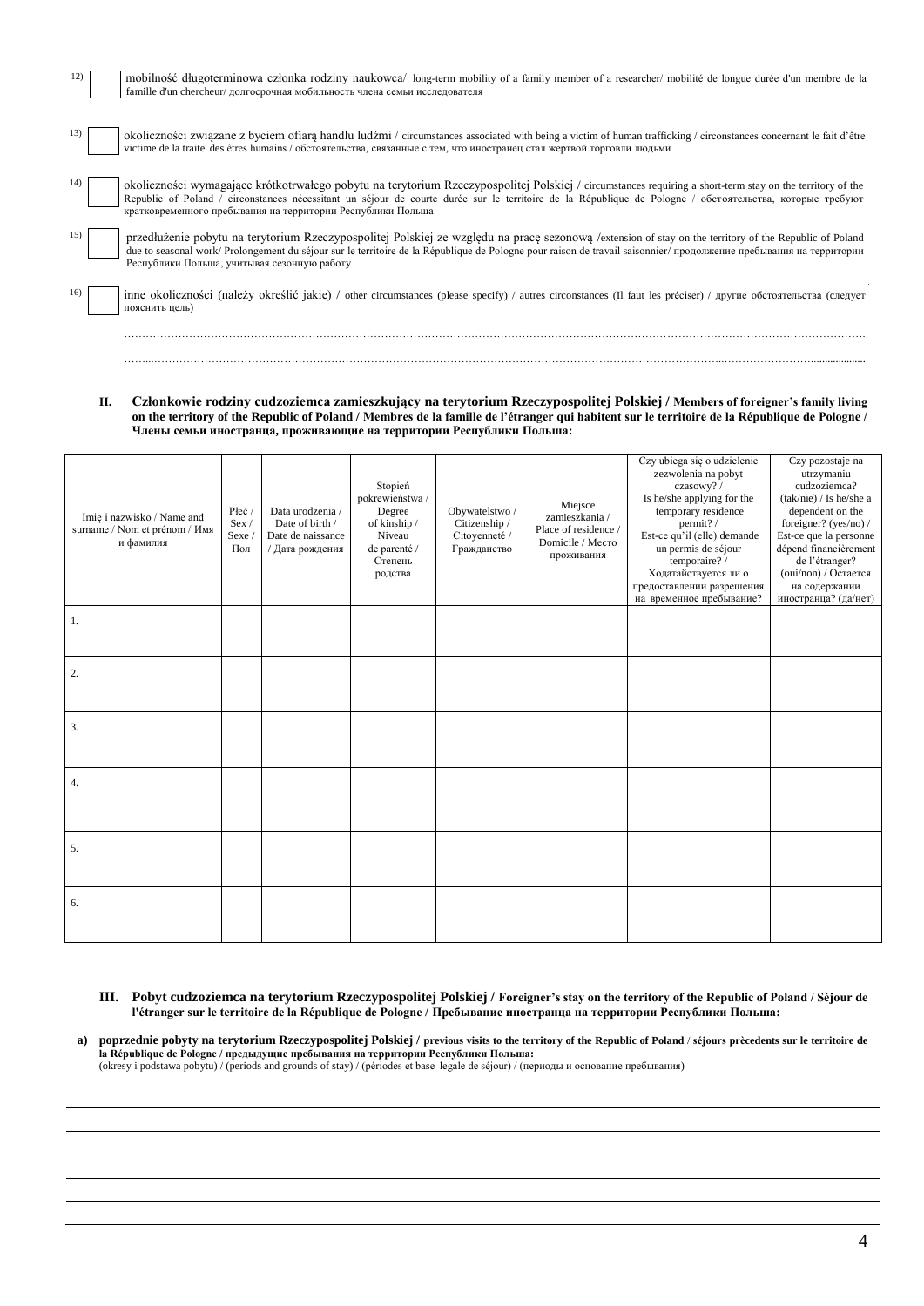| 12) | mobilność długoterminowa członka rodziny naukowca/ long-term mobility of a family member of a researcher/mobilité de longue durée d'un membre de la<br>famille d'un chercheur/ долгосрочная мобильность члена семьи исследователя                                                                                                                                                    |
|-----|--------------------------------------------------------------------------------------------------------------------------------------------------------------------------------------------------------------------------------------------------------------------------------------------------------------------------------------------------------------------------------------|
|     | okoliczności związane z byciem ofiarą handlu ludźmi / circumstances associated with being a victim of human trafficking / circonstances concernant le fait d'être<br>victime de la traite des êtres humains / обстоятельства, связанные с тем, что иностранец стал жертвой торговли людьми                                                                                           |
|     | okoliczności wymagające krótkotrwałego pobytu na terytorium Rzeczypospolitej Polskiej / circumstances requiring a short-term stay on the territory of the<br>Republic of Poland / circonstances nécessitant un séjour de courte durée sur le territoire de la République de Pologne / обстоятельства, которые требуют<br>кратковременного пребывания на территории Республики Польша |
|     | przedłużenie pobytu na terytorium Rzeczypospolitej Polskiej ze względu na pracę sezonową /extension of stay on the territory of the Republic of Poland<br>due to seasonal work/Prolongement du séjour sur le territoire de la République de Pologne pour raison de travail saisonnier/продолжение пребывания на территории<br>Республики Польша, учитывая сезонную работу            |
| 16) | inne okoliczności (należy określić jakie) / other circumstances (please specify) / autres circonstances (Il faut les préciser) / другие обстоятельства (следует<br>пояснить цель)                                                                                                                                                                                                    |
|     |                                                                                                                                                                                                                                                                                                                                                                                      |

**II. Członkowie rodziny cudzoziemca zamieszkujący na terytorium Rzeczypospolitej Polskiej / Members of foreigner's family living on the territory of the Republic of Poland / Membres de la famille de l'étranger qui habitent sur le territoire de la République de Pologne / Члены семьи иностранца, проживающие на территории Республики Польша:** 

……...…………………………………………………………………………………………………………………………………………..……………………....................

| Imię i nazwisko / Name and<br>surname / Nom et prénom / Имя<br>и фамилия | Płeć/<br>Sex /<br>Sexe /<br>Пол | Data urodzenia /<br>Date of birth /<br>Date de naissance<br>/ Дата рождения | Stopień<br>pokrewieństwa /<br>Degree<br>of kinship /<br>Niveau<br>de parenté /<br>Степень<br>родства | Obywatelstwo /<br>Citizenship /<br>Citoyenneté /<br>Гражданство | Miejsce<br>zamieszkania /<br>Place of residence /<br>Domicile / Mecro<br>проживания | Czy ubiega się o udzielenie<br>zezwolenia na pobyt<br>czasowy?/<br>Is he/she applying for the<br>temporary residence<br>permit?/<br>Est-ce qu'il (elle) demande<br>un permis de séjour<br>temporaire?/<br>Ходатайствуется ли о<br>предоставлении разрешения<br>на временное пребывание? | Czy pozostaje na<br>utrzymaniu<br>cudzoziemca?<br>(tak/nie) / Is he/she a<br>dependent on the<br>foreigner? (yes/no) /<br>Est-ce que la personne<br>dépend financièrement<br>de l'étranger?<br>(oui/non) / Остается<br>на содержании<br>иностранца? (да/нет) |
|--------------------------------------------------------------------------|---------------------------------|-----------------------------------------------------------------------------|------------------------------------------------------------------------------------------------------|-----------------------------------------------------------------|-------------------------------------------------------------------------------------|-----------------------------------------------------------------------------------------------------------------------------------------------------------------------------------------------------------------------------------------------------------------------------------------|--------------------------------------------------------------------------------------------------------------------------------------------------------------------------------------------------------------------------------------------------------------|
| 1.                                                                       |                                 |                                                                             |                                                                                                      |                                                                 |                                                                                     |                                                                                                                                                                                                                                                                                         |                                                                                                                                                                                                                                                              |
|                                                                          |                                 |                                                                             |                                                                                                      |                                                                 |                                                                                     |                                                                                                                                                                                                                                                                                         |                                                                                                                                                                                                                                                              |
| 2.                                                                       |                                 |                                                                             |                                                                                                      |                                                                 |                                                                                     |                                                                                                                                                                                                                                                                                         |                                                                                                                                                                                                                                                              |
|                                                                          |                                 |                                                                             |                                                                                                      |                                                                 |                                                                                     |                                                                                                                                                                                                                                                                                         |                                                                                                                                                                                                                                                              |
| $\overline{3}$ .                                                         |                                 |                                                                             |                                                                                                      |                                                                 |                                                                                     |                                                                                                                                                                                                                                                                                         |                                                                                                                                                                                                                                                              |
|                                                                          |                                 |                                                                             |                                                                                                      |                                                                 |                                                                                     |                                                                                                                                                                                                                                                                                         |                                                                                                                                                                                                                                                              |
| 4.                                                                       |                                 |                                                                             |                                                                                                      |                                                                 |                                                                                     |                                                                                                                                                                                                                                                                                         |                                                                                                                                                                                                                                                              |
|                                                                          |                                 |                                                                             |                                                                                                      |                                                                 |                                                                                     |                                                                                                                                                                                                                                                                                         |                                                                                                                                                                                                                                                              |
| 5.                                                                       |                                 |                                                                             |                                                                                                      |                                                                 |                                                                                     |                                                                                                                                                                                                                                                                                         |                                                                                                                                                                                                                                                              |
|                                                                          |                                 |                                                                             |                                                                                                      |                                                                 |                                                                                     |                                                                                                                                                                                                                                                                                         |                                                                                                                                                                                                                                                              |
| 6.                                                                       |                                 |                                                                             |                                                                                                      |                                                                 |                                                                                     |                                                                                                                                                                                                                                                                                         |                                                                                                                                                                                                                                                              |
|                                                                          |                                 |                                                                             |                                                                                                      |                                                                 |                                                                                     |                                                                                                                                                                                                                                                                                         |                                                                                                                                                                                                                                                              |

- **III. Pobyt cudzoziemca na terytorium Rzeczypospolitej Polskiej / Foreigner's stay on the territory of the Republic of Poland / Séjour de l'étranger sur le territoire de la République de Pologne / Пребывание иностранца на территории Республики Польша:**
- а) poprzednie pobyty na terytorium Rzeczypospolitej Polskiej / previous visits to the territory of the Republic of Poland / séjours prècedents sur le territoire de la République de Pologne / предыдущие пребывания на терри (okresy i podstawa pobytu) / (periods and grounds of stay) / (périodes et base legale de séjour) / (периоды и основание пребывания)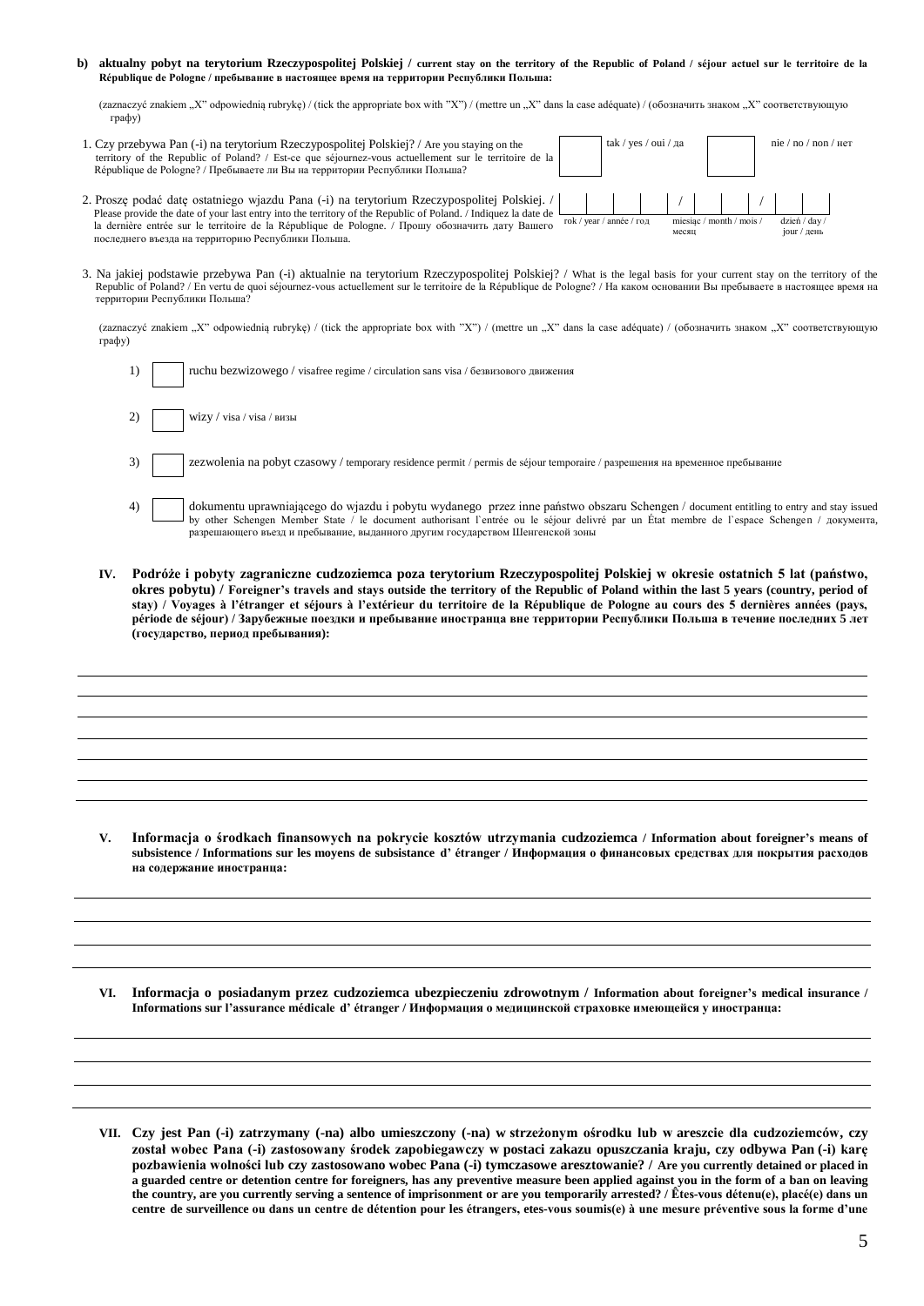#### **b) aktualny pobyt na terytorium Rzeczypospolitej Polskiej / current stay on the territory of the Republic of Poland / séjour actuel sur le territoire de la République de Pologne / пребывание в настоящее время на территории Республики Польша:**

(zaznaczyć znakiem "X" odpowiednią rubrykę) / (tick the appropriate box with "X") / (mettre un "X" dans la case adéquate) / (обозначить знаком "X" соответствующую графу)

| 1. Czy przebywa Pan (-i) na terytorium Rzeczypospolitej Polskiej? / Are you staying on the<br>territory of the Republic of Poland? / Est-ce que séjournez-vous actuellement sur le territoire de la<br>République de Pologne? / Пребываете ли Вы на территории Республики Польша?                                                                                                                   | tak / yes / oui / да |                          | nie / no / non / $_{\text{Her}}$  |
|-----------------------------------------------------------------------------------------------------------------------------------------------------------------------------------------------------------------------------------------------------------------------------------------------------------------------------------------------------------------------------------------------------|----------------------|--------------------------|-----------------------------------|
| 2. Proszę podać datę ostatniego wjazdu Pana (-i) na terytorium Rzeczypospolitej Polskiej. /<br>Please provide the date of your last entry into the territory of the Republic of Poland. / Indiquez la date de<br>rok / year / année / год<br>la dernière entrée sur le territoire de la République de Pologne. / Прошу обозначить дату Вашего<br>последнего въезда на территорию Республики Польша. | месяц                | miesiąc / month / mois / | $dzie'$ / day /<br>$j$ оиг / день |

3. Na jakiej podstawie przebywa Pan (-i) aktualnie na terytorium Rzeczypospolitej Polskiej? / What is the legal basis for your current stay on the territory of the Republic of Poland? / En vertu de quoi séjournez-vous actuellement sur le territoire de la République de Pologne? / На каком основании Вы пребываете в настоящее время на территории Республики Польша?

(zaznaczyć znakiem "X" odpowiednią rubrykę) / (tick the appropriate box with "X") / (mettre un "X" dans la case adéquate) / (обозначить знаком "X" соответствующую графу)

|    | ruchu bezwizowego / visafree regime / circulation sans visa / безвизового движения                                                                                                                                                                                                                                 |
|----|--------------------------------------------------------------------------------------------------------------------------------------------------------------------------------------------------------------------------------------------------------------------------------------------------------------------|
|    | wizy / visa / visa / визы                                                                                                                                                                                                                                                                                          |
| 3) | zezwolenia na pobyt czasowy / temporary residence permit / permis de séjour temporaire / разрешения на временное пребывание                                                                                                                                                                                        |
| 41 | dokumentu uprawniającego do wjazdu i pobytu wydanego przez inne państwo obszaru Schengen / document entitling to entry and stay issued<br>by other Schengen Member State / le document authorisant l'entrée ou le séjour delivré<br>разрешающего въезд и пребывание, выданного другим государством Шенгенской зоны |

**IV. Podróże i pobyty zagraniczne cudzoziemca poza terytorium Rzeczypospolitej Polskiej w okresie ostatnich 5 lat (państwo, okres pobytu) / Foreigner's travels and stays outside the territory of the Republic of Poland within the last 5 years (country, period of stay) / Voyages à l'étranger et séjours à l'extérieur du territoire de la République de Pologne au cours des 5 dernières années (pays, période de séjour) / Зарубежные поездки и пребывание иностранца вне территории Республики Польша в течение последних 5 лет (государство, период пребывания):**

**V. Informacja o środkach finansowych na pokrycie kosztów utrzymania cudzoziemca / Information about foreigner's means of subsistence / Informations sur les moyens de subsistance d' étranger / Информация о финансовых средствах для покрытия расходов на содержание иностранца:**

**VI. Informacja o posiadanym przez cudzoziemca ubezpieczeniu zdrowotnym / Information about foreigner's medical insurance / Informations sur l'assurance médicale d' étranger / Информация о медицинской страховке имеющейся у иностранца:**

**VII. Czy jest Pan (-i) zatrzymany (-na) albo umieszczony (-na) w strzeżonym ośrodku lub w areszcie dla cudzoziemców, czy został wobec Pana (-i) zastosowany środek zapobiegawczy w postaci zakazu opuszczania kraju, czy odbywa Pan (-i) karę pozbawienia wolności lub czy zastosowano wobec Pana (-i) tymczasowe aresztowanie? / Are you currently detained or placed in a guarded centre or detention centre for foreigners, has any preventive measure been applied against you in the form of a ban on leaving the country, are you currently serving a sentence of imprisonment or are you temporarily arrested? / Êtes-vous détenu(e), placé(e) dans un centre de surveillence ou dans un centre de détention pour les étrangers, etes-vous soumis(e) à une mesure préventive sous la forme d'une**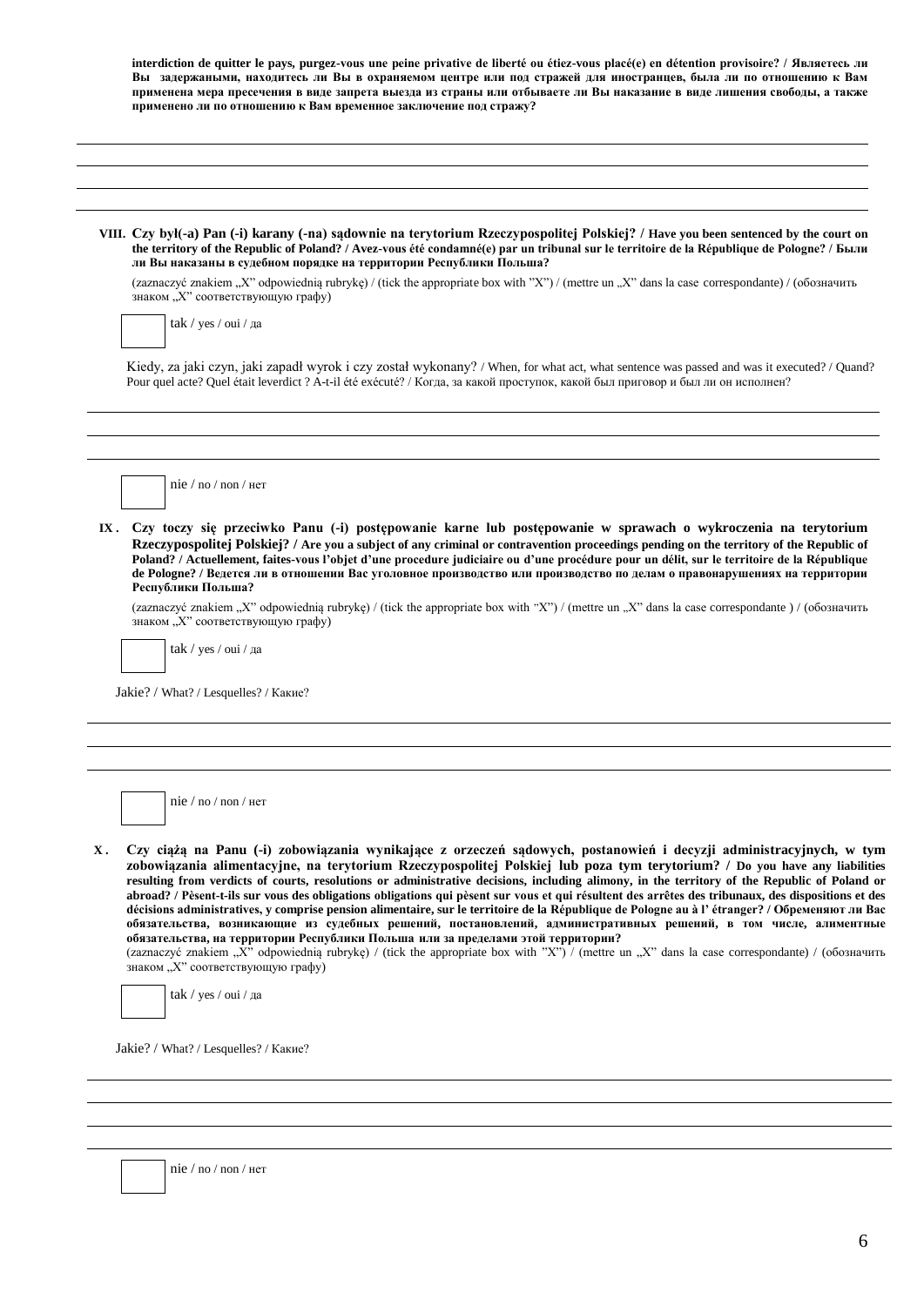|     | применено ли по отношению к Вам временное заключение под стражу?                                                                                                                                                                                                                                                                                                                                                                                                                                                                                                                                                                                                                                                                                                                                                                                                                                                                                                                                                                                                                                       |
|-----|--------------------------------------------------------------------------------------------------------------------------------------------------------------------------------------------------------------------------------------------------------------------------------------------------------------------------------------------------------------------------------------------------------------------------------------------------------------------------------------------------------------------------------------------------------------------------------------------------------------------------------------------------------------------------------------------------------------------------------------------------------------------------------------------------------------------------------------------------------------------------------------------------------------------------------------------------------------------------------------------------------------------------------------------------------------------------------------------------------|
|     | VIII. Czy byl(-a) Pan (-i) karany (-na) sądownie na terytorium Rzeczypospolitej Polskiej? / Have you been sentenced by the court on<br>the territory of the Republic of Poland? / Avez-vous été condamné(e) par un tribunal sur le territoire de la République de Pologne? / Были<br>ли Вы наказаны в судебном порядке на территории Республики Польша?                                                                                                                                                                                                                                                                                                                                                                                                                                                                                                                                                                                                                                                                                                                                                |
|     | (zaznaczyć znakiem "X" odpowiednią rubrykę) / (tick the appropriate box with "X") / (mettre un "X" dans la case correspondante) / (обозначить<br>знаком "Х" соответствующую графу)                                                                                                                                                                                                                                                                                                                                                                                                                                                                                                                                                                                                                                                                                                                                                                                                                                                                                                                     |
|     | tak / yes / oui / да                                                                                                                                                                                                                                                                                                                                                                                                                                                                                                                                                                                                                                                                                                                                                                                                                                                                                                                                                                                                                                                                                   |
|     | Kiedy, za jaki czyn, jaki zapadł wyrok i czy został wykonany? / When, for what act, what sentence was passed and was it executed? / Quand?<br>Pour quel acte? Quel était leverdict ? A-t-il été exécuté? / Когда, за какой проступок, какой был приговор и был ли он исполнен?                                                                                                                                                                                                                                                                                                                                                                                                                                                                                                                                                                                                                                                                                                                                                                                                                         |
|     |                                                                                                                                                                                                                                                                                                                                                                                                                                                                                                                                                                                                                                                                                                                                                                                                                                                                                                                                                                                                                                                                                                        |
|     | nie / no / non / Her                                                                                                                                                                                                                                                                                                                                                                                                                                                                                                                                                                                                                                                                                                                                                                                                                                                                                                                                                                                                                                                                                   |
|     | Czy toczy się przeciwko Panu (-i) postępowanie karne lub postępowanie w sprawach o wykroczenia na terytorium<br>Rzeczypospolitej Polskiej? / Are you a subject of any criminal or contravention proceedings pending on the territory of the Republic of                                                                                                                                                                                                                                                                                                                                                                                                                                                                                                                                                                                                                                                                                                                                                                                                                                                |
|     | Poland? / Actuellement, faites-vous l'objet d'une procedure judiciaire ou d'une procédure pour un délit, sur le territoire de la République<br>de Pologne? / Ведется ли в отношении Вас уголовное производство или производство по делам о правонарушениях на территории<br>Республики Польша?<br>(zaznaczyć znakiem "X" odpowiednią rubrykę) / (tick the appropriate box with "X") / (mettre un "X" dans la case correspondante) / (обозначить<br>знаком "Х" соответствующую графу)<br>tak / yes / oui / да                                                                                                                                                                                                                                                                                                                                                                                                                                                                                                                                                                                           |
| IX. | Jakie? / What? / Lesquelles? / Какие?                                                                                                                                                                                                                                                                                                                                                                                                                                                                                                                                                                                                                                                                                                                                                                                                                                                                                                                                                                                                                                                                  |
|     |                                                                                                                                                                                                                                                                                                                                                                                                                                                                                                                                                                                                                                                                                                                                                                                                                                                                                                                                                                                                                                                                                                        |
|     | nie / no / non / $Her$                                                                                                                                                                                                                                                                                                                                                                                                                                                                                                                                                                                                                                                                                                                                                                                                                                                                                                                                                                                                                                                                                 |
| Х.  | Czy ciążą na Panu (-i) zobowiązania wynikające z orzeczeń sądowych, postanowień i decyzji administracyjnych, w tym<br>zobowiązania alimentacyjne, na terytorium Rzeczypospolitej Polskiej lub poza tym terytorium? / Do you have any liabilities<br>resulting from verdicts of courts, resolutions or administrative decisions, including alimony, in the territory of the Republic of Poland or<br>abroad? / Pèsent-t-ils sur vous des obligations obligations qui pèsent sur vous et qui résultent des arrêtes des tribunaux, des dispositions et des<br>décisions administratives, y comprise pension alimentaire, sur le territoire de la République de Pologne au à l'étranger? / Обременяют ли Вас<br>обязательства, возникающие из судебных решений, постановлений, административных решений, в том числе, алиментные<br>обязательства, на территории Республики Польша или за пределами этой территории?<br>(zaznaczyć znakiem "X" odpowiednią rubrykę) / (tick the appropriate box with "X") / (mettre un "X" dans la case correspondante) / (обозначить<br>знаком "Х" соответствующую графу) |

nie / no / non / нет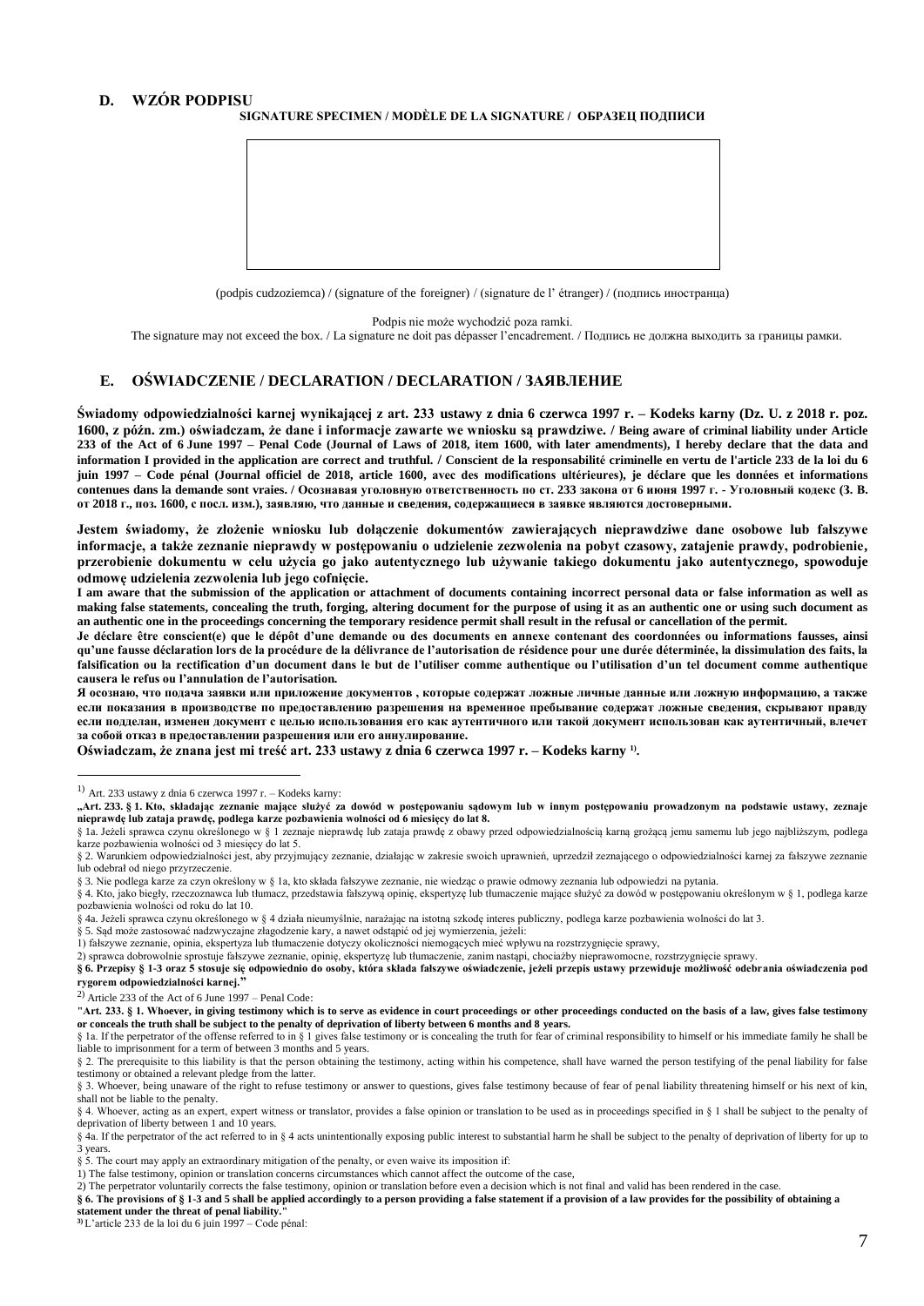# **D. WZÓR PODPISU**

## **SIGNATURE SPECIMEN / MODÈLE DE LA SIGNATURE / ОБРАЗЕЦ ПОДПИСИ**



(podpis cudzoziemca) / (signature of the foreigner) / (signature de l' étranger) / (подпись иностранца)

Podpis nie może wychodzić poza ramki.

The signature may not exceed the box. / La signature ne doit pas dépasser l'encadrement. / Подпись не должна выходить за границы рамки.

## **E. OŚWIADCZENIE / DECLARATION / DECLARATION / ЗАЯВЛЕНИE**

**Świadomy odpowiedzialności karnej wynikającej z art. 233 ustawy z dnia 6 czerwca 1997 r. – Kodeks karny (Dz. U. z 2018 r. poz. 1600, z późn. zm.) oświadczam, że dane i informacje zawarte we wniosku są prawdziwe. / Being aware of criminal liability under Article 233 of the Act of 6 June 1997 – Penal Code (Journal of Laws of 2018, item 1600, with later amendments), I hereby declare that the data and**  information I provided in the application are correct and truthful. / Conscient de la responsabilité criminelle en vertu de l'article 233 de la loi du 6 juin 1997 – Code pénal (Journal officiel de 2018, article 1600, avec des modifications ultérieures), je déclare que les données et informations contenues dans la demande sont vraies. / Осознавая уголовную ответственность по ст. 233 закона от 6 июня 1997 г. - Уголовный кодекс (З. В. **от 2018 г., поз. 1600, c посл. изм.), заявляю, что данные и свeдeния, содержащиеся в заявке являются достоверными.**

**Jestem świadomy, że złożenie wniosku lub dołączenie dokumentów zawierających nieprawdziwe dane osobowe lub fałszywe informacje, a także zeznanie nieprawdy w postępowaniu o udzielenie zezwolenia na pobyt czasowy, zatajenie prawdy, podrobienie, przerobienie dokumentu w celu użycia go jako autentycznego lub używanie takiego dokumentu jako autentycznego, spowoduje odmowę udzielenia zezwolenia lub jego cofnięcie.**

**I am aware that the submission of the application or attachment of documents containing incorrect personal data or false information as well as making false statements, concealing the truth, forging, altering document for the purpose of using it as an authentic one or using such document as an authentic one in the proceedings concerning the temporary residence permit shall result in the refusal or cancellation of the permit.**

Je déclare être conscient(e) que le dépôt d'une demande ou des documents en annexe contenant des coordonnées ou informations fausses, ainsi **qu'une fausse déclaration lors de la procédure de la délivrance de l'autorisation de résidence pour une durée déterminée, la dissimulation des faits, la falsification ou la rectification d'un document dans le but de l'utiliser comme authentique ou l'utilisation d'un tel document comme authentique causera le refus ou l'annulation de l'autorisation.**

**Я осознаю, что подача заявки или приложение документов , которые содержат ложные личные данные или ложную информацию, а также если показания в производстве по предоставлению разрешения на временное пребывание содержат ложные сведения, скрывают правду если подделан, изменен документ с целью использования его как аутентичного или такой документ использован как аутентичный, влечет за собой отказ в предоставлении разрешения или его аннулирование.**

**Oświadczam, że znana jest mi treść art. 233 ustawy z dnia 6 czerwca 1997 r. – Kodeks karny 1) .**

- § 4. Kto, jako biegły, rzeczoznawca lub tłumacz, przedstawia fałszywą opinię, ekspertyzę lub tłumaczenie mające służyć za dowód w postępowaniu określonym w § 1, podlega karze pozbawienia wolności od roku do lat 10.
- § 4a. Jeżeli sprawca czynu określonego w § 4 działa nieumyślnie, narażając na istotną szkodę interes publiczny, podlega karze pozbawienia wolności do lat 3.
- § 5. Sąd może zastosować nadzwyczajne złagodzenie kary, a nawet odstąpić od jej wymierzenia, jeżeli:
- 1) fałszywe zeznanie, opinia, ekspertyza lub tłumaczenie dotyczy okoliczności niemogących mieć wpływu na rozstrzygnięcie sprawy,

2) sprawca dobrowolnie sprostuje fałszywe zeznanie, opinię, ekspertyzę lub tłumaczenie, zanim nastąpi, chociażby nieprawomocne, rozstrzygnięcie sprawy. **§ 6. Przepisy § 1-3 oraz 5 stosuje się odpowiednio do osoby, która składa fałszywe oświadczenie, jeżeli przepis ustawy przewiduje możliwość odebrania oświadczenia pod** 

**rygorem odpowiedzialności karnej."**

 $\overline{a}$ 

2) Article 233 of the Act of 6 June 1997 – Penal Code:

**"Art. 233. § 1. Whoever, in giving testimony which is to serve as evidence in court proceedings or other proceedings conducted on the basis of a law, gives false testimony or conceals the truth shall be subject to the penalty of deprivation of liberty between 6 months and 8 years.**

§ 2. The prerequisite to this liability is that the person obtaining the testimony, acting within his competence, shall have warned the person testifying of the penal liability for false testimony or obtained a relevant pledge from the latter.

**statement under the threat of penal liability."**

 $^{1)}$  Art. 233 ustawy z dnia 6 czerwca 1997 r. – Kodeks karny:

**<sup>&</sup>quot;Art. 233. § 1. Kto, składając zeznanie mające służyć za dowód w postępowaniu sądowym lub w innym postępowaniu prowadzonym na podstawie ustawy, zeznaje nieprawdę lub zataja prawdę, podlega karze pozbawienia wolności od 6 miesięcy do lat 8.**

<sup>§</sup> 1a. Jeżeli sprawca czynu określonego w § 1 zeznaje nieprawdę lub zataja prawdę z obawy przed odpowiedzialnością karną grożącą jemu samemu lub jego najbliższym, podlega karze pozbawienia wolności od 3 miesięcy do lat 5.

<sup>§</sup> 2. Warunkiem odpowiedzialności jest, aby przyjmujący zeznanie, działając w zakresie swoich uprawnień, uprzedził zeznającego o odpowiedzialności karnej za fałszywe zeznanie lub odebrał od niego przyrzeczenie.

<sup>§</sup> 3. Nie podlega karze za czyn określony w § 1a, kto składa fałszywe zeznanie, nie wiedząc o prawie odmowy zeznania lub odpowiedzi na pytania.

<sup>§ 1</sup>a. If the perpetrator of the offense referred to in § 1 gives false testimony or is concealing the truth for fear of criminal responsibility to himself or his immediate family he shall be liable to imprisonment for a term of between 3 months and 5 years.

<sup>§ 3.</sup> Whoever, being unaware of the right to refuse testimony or answer to questions, gives false testimony because of fear of penal liability threatening himself or his next of kin, shall not be liable to the penalty.

<sup>§ 4.</sup> Whoever, acting as an expert, expert witness or translator, provides a false opinion or translation to be used as in proceedings specified in § 1 shall be subject to the penalty of deprivation of liberty between 1 and 10 years.

<sup>§ 4</sup>a. If the perpetrator of the act referred to in § 4 acts unintentionally exposing public interest to substantial harm he shall be subject to the penalty of deprivation of liberty for up to 3 years.

<sup>§ 5.</sup> The court may apply an extraordinary mitigation of the penalty, or even waive its imposition if:

<sup>1)</sup> The false testimony, opinion or translation concerns circumstances which cannot affect the outcome of the case,

<sup>2)</sup> The perpetrator voluntarily corrects the false testimony, opinion or translation before even a decision which is not final and valid has been rendered in the case.

<sup>§ 6.</sup> The provisions of § 1-3 and 5 shall be applied accordingly to a person providing a false statement if a provision of a law provides for the possibility of obtaining a

**<sup>3)</sup>** L'article 233 de la loi du 6 juin 1997 – Code pénal: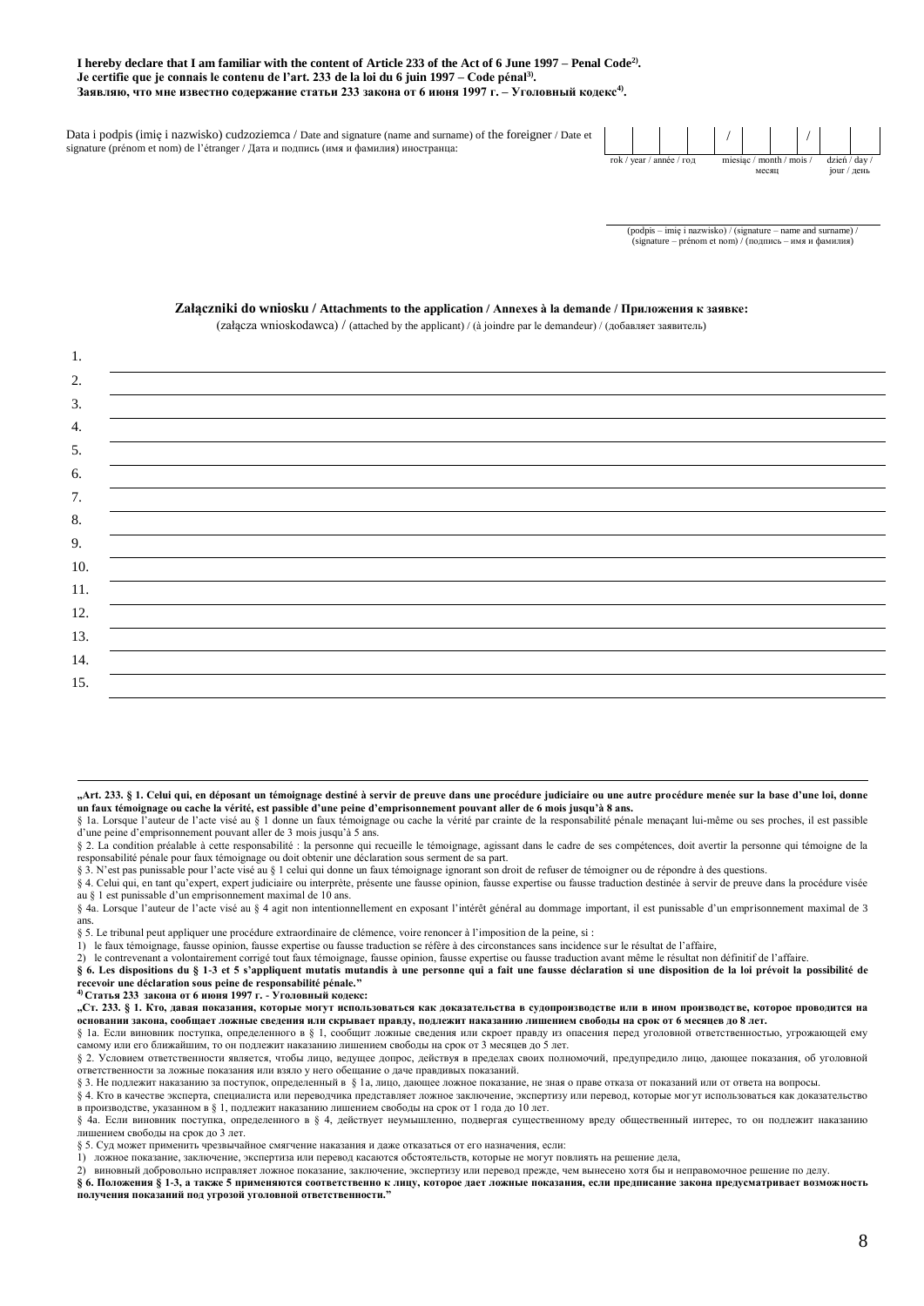### **I hereby declare that I am familiar with the content of Article 233 of the Act of 6 June 1997 – Penal Code2) . Je certifie que je connais le contenu de l'art. 233 de la loi du 6 juin 1997 – Code pénal3) . Заявляю, что мне известно содержание статьи 233 закона от 6 июня 1997 г. – Уголовный кодекс4) .**

Data i podpis (imię i nazwisko) cudzoziemca / Date and signature (name and surname) of the foreigner / Date et signature (prénom et nom) de l'étranger / Дата и подпись (имя и фамилия) иностранца:



(podpis – imię i nazwisko) / (signature – name and surname) / (signature – prénom et nom) / (подпись – имя и фамилия)

#### **Załączniki do wniosku / Attachments to the application / Annexes à la demande / Приложения к заявке:**

(załącza wnioskodawca) / (attached by the applicant) / (à joindre par le demandeur) / (добавляет заявитель)

| $\mathbf{1}$ .  |  |
|-----------------|--|
| 2.              |  |
| 3.              |  |
| 4.              |  |
| 5.              |  |
| 6.              |  |
| 7.              |  |
| 8.              |  |
| 9.              |  |
| 10.             |  |
| $\frac{11}{12}$ |  |
|                 |  |
| 13.             |  |
| 14.             |  |
| 15.             |  |

 $\overline{a}$ **"Art. 233. § 1. Celui qui, en déposant un témoignage destiné à servir de preuve dans une procédure judiciaire ou une autre procédure menée sur la base d'une loi, donne un faux témoignage ou cache la vérité, est passible d'une peine d'emprisonnement pouvant aller de 6 mois jusqu'à 8 ans.**

§ 1a. Lorsque l'auteur de l'acte visé au § 1 donne un faux témoignage ou cache la vérité par crainte de la responsabilité pénale menaçant lui-même ou ses proches, il est passible d'une peine d'emprisonnement pouvant aller de 3 mois jusqu'à 5 ans.

§ 2. La condition préalable à cette responsabilité : la personne qui recueille le témoignage, agissant dans le cadre de ses compétences, doit avertir la personne qui témoigne de la responsabilité pénale pour faux témoignage ou doit obtenir une déclaration sous serment de sa part.

§ 3. N'est pas punissable pour l'acte visé au § 1 celui qui donne un faux témoignage ignorant son droit de refuser de témoigner ou de répondre à des questions.

§ 4. Celui qui, en tant qu'expert, expert judiciaire ou interprète, présente une fausse opinion, fausse expertise ou fausse traduction destinée à servir de preuve dans la procédure visée au § 1 est punissable d'un emprisonnement maximal de 10 ans.

§ 4a. Lorsque l'auteur de l'acte visé au § 4 agit non intentionnellement en exposant l'intérêt général au dommage important, il est punissable d'un emprisonnement maximal de 3 ans.

§ 5. Le tribunal peut appliquer une procédure extraordinaire de clémence, voire renoncer à l'imposition de la peine, si :

1) le faux témoignage, fausse opinion, fausse expertise ou fausse traduction se réfère à des circonstances sans incidence sur le résultat de l'affaire,

2) le contrevenant a volontairement corrigé tout faux témoignage, fausse opinion, fausse expertise ou fausse traduction avant même le résultat non définitif de l'affaire.

**§ 6. Les dispositions du § 1-3 et 5 s'appliquent mutatis mutandis à une personne qui a fait une fausse déclaration si une disposition de la loi prévoit la possibilité de recevoir une déclaration sous peine de responsabilité pénale."**

**4) Cтатья 233 закона от 6 июня 1997 г. - Уголовный кодекс:**

**"Ст. 233. § 1. Кто, давая показания, которые могут использоваться как доказательства в судопроизводстве или в ином производстве, которое проводится на основании закона, сообщает ложные сведения или скрывает правду, подлежит наказанию лишением свободы на срок от 6 месяцев до 8 лет.** § 1a. Если виновник поступка, определенного в § 1, сообщит ложные сведения или скроет правду из опасения перед уголовной ответственностью, угрожающей ему

самому или его ближайшим, то он подлежит наказанию лишением свободы на срок от 3 месяцев до 5 лет.

§ 2. Условием ответственности является, чтобы лицо, ведущее допрос, действуя в пределах своих полномочий, предупредило лицо, дающее показания, об уголовной ответственности за ложные показания или взяло у него обещание о даче правдивых показаний.

§ 3. Не подлежит наказанию за поступок, определенный в § 1a, лицо, дающее ложное показание, не зная о праве отказа от показаний или от ответа на вопросы.

§ 4. Кто в качестве эксперта, специалиста или переводчика представляет ложное заключение, экспертизу или перевод, которые могут использоваться как доказательство в производстве, указанном в § 1, подлежит наказанию лишением свободы на срок от 1 года до 10 лет.

§ 4a. Если виновник поступка, определенного в § 4, действует неумышленно, подвергая существенному вреду общественный интерес, то он подлежит наказанию лишением свободы на срок до 3 лет.

§ 5. Суд может применить чрезвычайное смягчение наказания и даже отказаться от его назначения, если:

1) ложное показание, заключение, экспертиза или перевод касаются обстоятельств, которые не могут повлиять на решение дела,

2) виновный добровольно исправляет ложное показание, заключение, экспертизу или перевод прежде, чем вынесено хотя бы и неправомочное решение по делу.

**§ 6. Положения § 1-3, а также 5 применяются соответственно к лицу, которое дает ложные показания, если предписание закона предусматривает возможность получения показаний под угрозой уголовной ответственности."**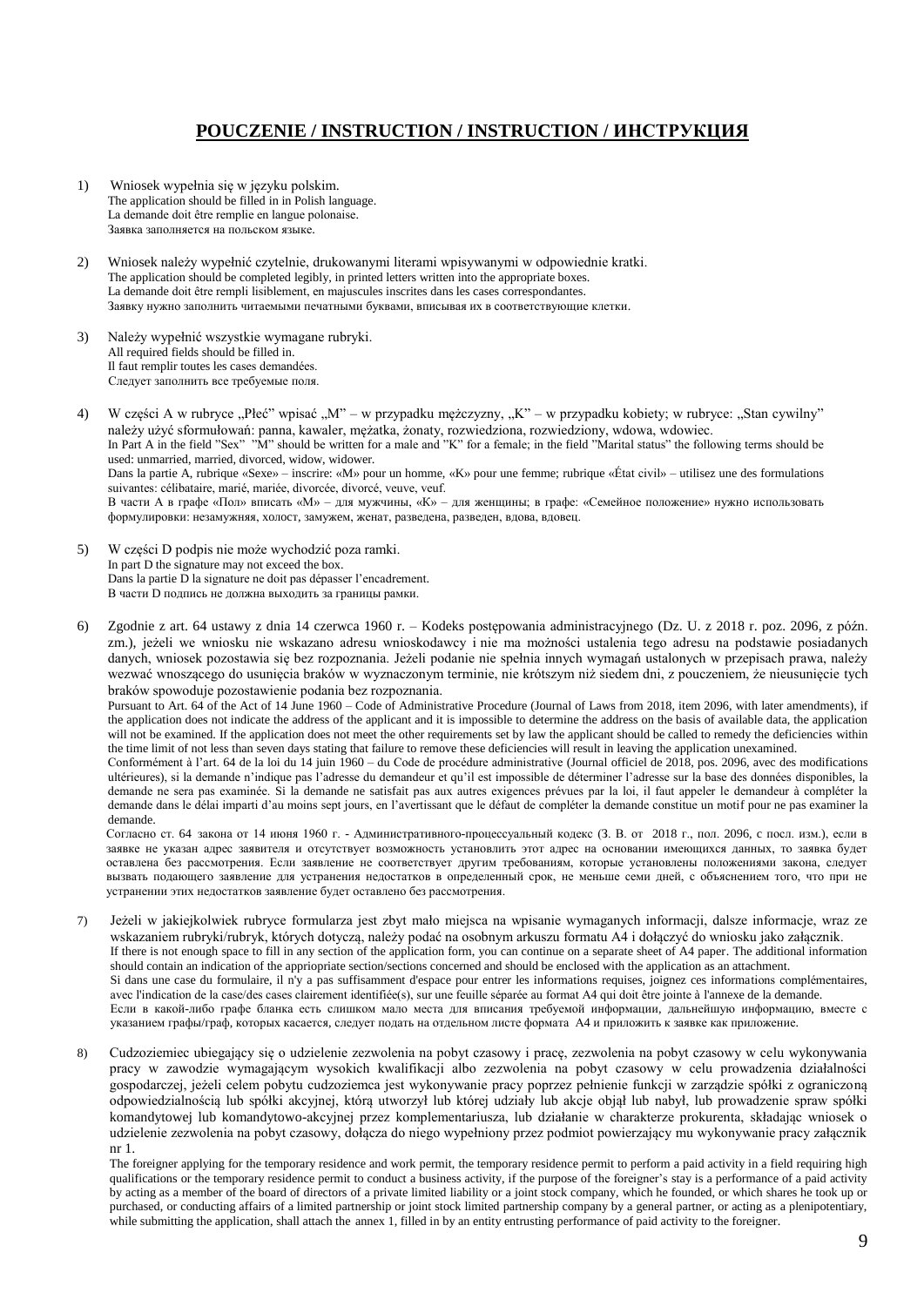# **POUCZENIE / INSTRUCTION / INSTRUCTION / ИНСТРУКЦИЯ**

- 1) Wniosek wypełnia się w języku polskim. The application should be filled in in Polish language. La demande doit être remplie en langue polonaise. Заявка заполняется на польском языке.
- 2) Wniosek należy wypełnić czytelnie, drukowanymi literami wpisywanymi w odpowiednie kratki. The application should be completed legibly, in printed letters written into the appropriate boxes. La demande doit être rempli lisiblement, en majuscules inscrites dans les cases correspondantes. Заявкy нужно заполнить читаемыми печатными буквами, вписывая их в соответствующие клетки.
- 3) Należy wypełnić wszystkie wymagane rubryki. All required fields should be filled in. Il faut remplir toutes les cases demandées. Следует заполнить все требуемые поля.

4) W części A w rubryce "Płeć" wpisać "M" – w przypadku mężczyzny, "K" – w przypadku kobiety; w rubryce: "Stan cywilny" należy użyć sformułowań: panna, kawaler, mężatka, żonaty, rozwiedziona, rozwiedziony, wdowa, wdowiec. In Part A in the field "Sex" "M" should be written for a male and "K" for a female; in the field "Marital status" the following terms should be used: unmarried, married, divorced, widow, widower. Dans la partie A, rubrique «Sexe» – inscrire: «M» pour un homme, «K» pour une femme; rubrique «État civil» – utilisez une des formulations suivantes: célibataire, marié, mariée, divorcée, divorcé, veuve, veuf. В части А в графе «Пол» вписать «М» – для мужчины, «К» – для женщины; в графе: «Семейное положение» нужно использовать формулировки: незамужняя, хoлocт, замужeм, женат, разведена, разведен, вдова, вдовец.

- 5) W części D podpis nie może wychodzić poza ramki. In part D the signature may not exceed the box. Dans la partie D la signature ne doit pas dépasser l'encadrement. В части D подпись не должна выходить за границы рамки.
- 6) Zgodnie z art. 64 ustawy z dnia 14 czerwca 1960 r. Kodeks postępowania administracyjnego (Dz. U. z 2018 r. poz. 2096, z późn. zm.), jeżeli we wniosku nie wskazano adresu wnioskodawcy i nie ma możności ustalenia tego adresu na podstawie posiadanych danych, wniosek pozostawia się bez rozpoznania. Jeżeli podanie nie spełnia innych wymagań ustalonych w przepisach prawa, należy wezwać wnoszącego do usunięcia braków w wyznaczonym terminie, nie krótszym niż siedem dni, z pouczeniem, że nieusunięcie tych braków spowoduje pozostawienie podania bez rozpoznania.

Pursuant to Art. 64 of the Act of 14 June 1960 – Code of Administrative Procedure (Journal of Laws from 2018, item 2096, with later amendments), if the application does not indicate the address of the applicant and it is impossible to determine the address on the basis of available data, the application will not be examined. If the application does not meet the other requirements set by law the applicant should be called to remedy the deficiencies within the time limit of not less than seven days stating that failure to remove these deficiencies will result in leaving the application unexamined.

Conformément à l'art. 64 de la loi du 14 juin 1960 – du Code de procédure administrative (Journal officiel de 2018, pos. 2096, avec des modifications ultérieures), si la demande n'indique pas l'adresse du demandeur et qu'il est impossible de déterminer l'adresse sur la base des données disponibles, la demande ne sera pas examinée. Si la demande ne satisfait pas aux autres exigences prévues par la loi, il faut appeler le demandeur à compléter la demande dans le délai imparti d'au moins sept jours, en l'avertissant que le défaut de compléter la demande constitue un motif pour ne pas examiner la demande.

Согласно ст. 64 закона от 14 июня 1960 г. - Административного-процессуальный кодекс (З. В. от 2018 г., пoл. 2096, c посл. изм.), если в заявке не указан адрес заявителя и отсутствует возможность установлить этот адрес на основании имеющихся данных, то заявка будет оставлена без рассмотрения. Если заявление не соответствует другим требованиям, которые установлены положениями закона, следует вызвать подающего заявление для устранения недостатков в определенный срок, не меньше семи дней, с объяснением того, что при не устранении этих недостатков заявление будет оставлено без рассмотрения.

- 7) Jeżeli w jakiejkolwiek rubryce formularza jest zbyt mało miejsca na wpisanie wymaganych informacji, dalsze informacje, wraz ze wskazaniem rubryki/rubryk, których dotyczą, należy podać na osobnym arkuszu formatu A4 i dołączyć do wniosku jako załącznik. If there is not enough space to fill in any section of the application form, you can continue on a separate sheet of A4 paper. The additional information should contain an indication of the appriopriate section/sections concerned and should be enclosed with the application as an attachment. Si dans une case du formulaire, il n'y a pas suffisamment d'espace pour entrer les informations requises, joignez ces informations complémentaires, avec l'indication de la case/des cases clairement identifiée(s), sur une feuille séparée au format A4 qui doit être jointe à l'annexe de la demande. Если в какой-либо графе бланка есть слишком мало места для вписания требуемой информации, дальнейшую информацию, вместе с указанием графы/граф, которых касается, следует подать на отдельном листе формата А4 и приложить к заявке как приложение.
- 8) Cudzoziemiec ubiegający się o udzielenie zezwolenia na pobyt czasowy i pracę, zezwolenia na pobyt czasowy w celu wykonywania pracy w zawodzie wymagającym wysokich kwalifikacji albo zezwolenia na pobyt czasowy w celu prowadzenia działalności gospodarczej, jeżeli celem pobytu cudzoziemca jest wykonywanie pracy poprzez pełnienie funkcji w zarządzie spółki z ograniczoną odpowiedzialnością lub spółki akcyjnej, którą utworzył lub której udziały lub akcje objął lub nabył, lub prowadzenie spraw spółki komandytowej lub komandytowo-akcyjnej przez komplementariusza, lub działanie w charakterze prokurenta, składając wniosek o udzielenie zezwolenia na pobyt czasowy, dołącza do niego wypełniony przez podmiot powierzający mu wykonywanie pracy załącznik nr 1.

The foreigner applying for the temporary residence and work permit, the temporary residence permit to perform a paid activity in a field requiring high qualifications or the temporary residence permit to conduct a business activity, if the purpose of the foreigner's stay is a performance of a paid activity by acting as a member of the board of directors of a private limited liability or a joint stock company, which he founded, or which shares he took up or purchased, or conducting affairs of a limited partnership or joint stock limited partnership company by a general partner, or acting as a plenipotentiary, while submitting the application, shall attach the annex 1, filled in by an entity entrusting performance of paid activity to the foreigner.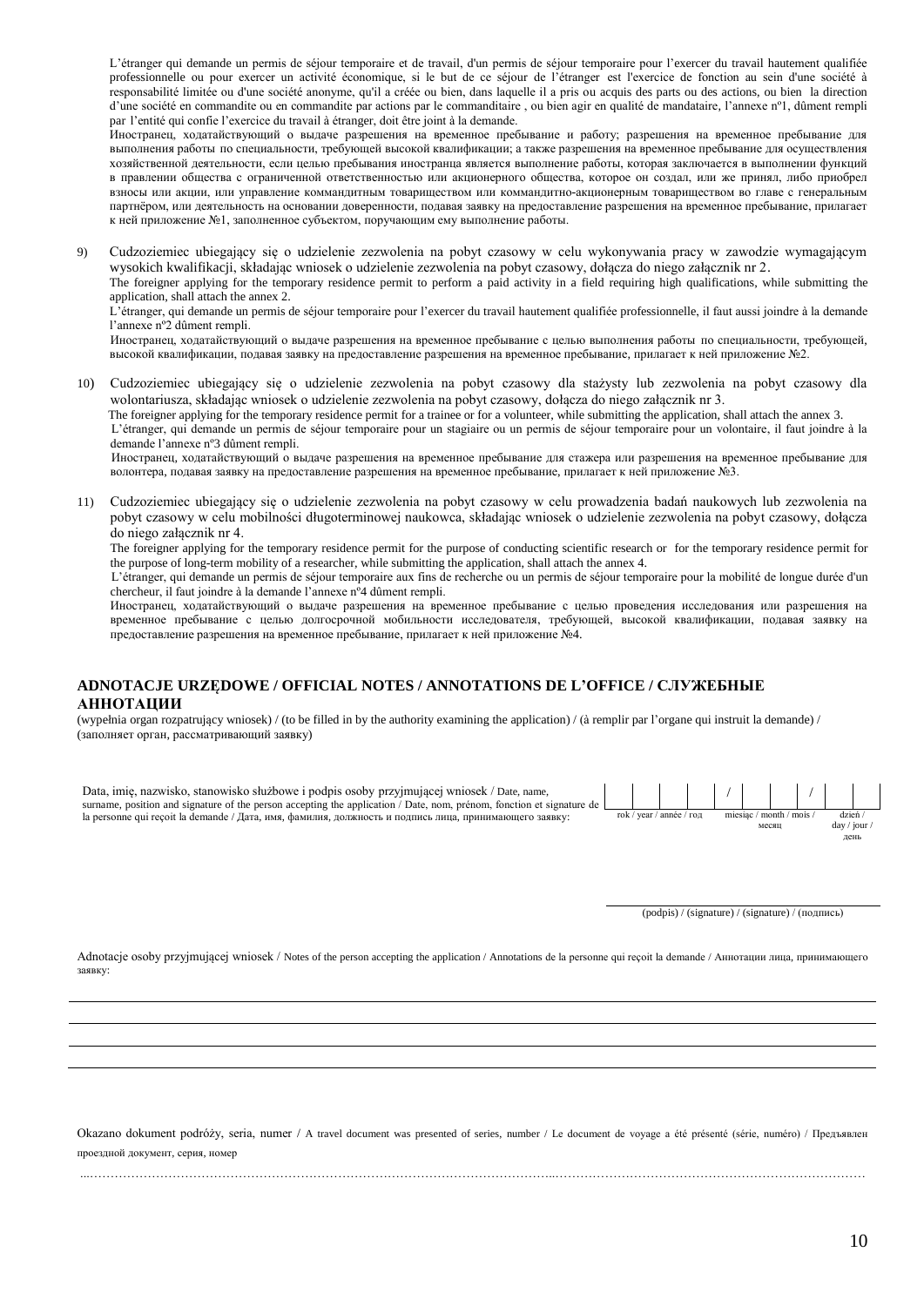L'étranger qui demande un permis de séjour temporaire et de travail, d'un permis de séjour temporaire pour l'exercer du travail hautement qualifiée professionnelle ou pour exercer un activité économique, si le but de ce séjour de l'étranger est l'exercice de fonction au sein d'une société à responsabilité limitée ou d'une société anonyme, qu'il a créée ou bien, dans laquelle il a pris ou acquis des parts ou des actions, ou bien la direction d'une société en commandite ou en commandite par actions par le commanditaire , ou bien agir en qualité de mandataire, l'annexe nº1, dûment rempli par l'entité qui confie l'exercice du travail à étranger, doit être joint à la demande.

Иностранец, ходатайствующий о выдаче разрешения на временное пребывание и работу; разрешения на временное пребывание для выполнения работы по специальности, требующей высокой квалификации; а также разрешения на временное пребывание для осуществления хозяйственной деятельности, если целью пребывания иностранца является выполнение работы, которая заключается в выполнении функций в правлении общества с ограниченной ответственностью или акционерного общества, которое он создал, или же принял, либо приобрел взносы или акции, или управление коммандитным товариществом или коммандитно-акционерным товариществом во главе с генеральным партнёром, или деятельность на основании доверенности, подавая заявку на предоставление разрешения на временное пребывание, прилагает к ней приложение №1, заполненное субъектом, поручающим ему выполнение работы.

9) Cudzoziemiec ubiegający się o udzielenie zezwolenia na pobyt czasowy w celu wykonywania pracy w zawodzie wymagającym wysokich kwalifikacji, składając wniosek o udzielenie zezwolenia na pobyt czasowy, dołącza do niego załącznik nr 2.

The foreigner applying for the temporary residence permit to perform a paid activity in a field requiring high qualifications, while submitting the application, shall attach the annex 2.

L'étranger, qui demande un permis de séjour temporaire pour l'exercer du travail hautement qualifiée professionnelle, il faut aussi joindre à la demande l'annexe nº2 dûment rempli.

Иностранец, ходатайствующий о выдаче разрешения на временное пребывание с целью выполнения работы по специальности, требующей, высокой квалификации, подавая заявку на предоставление разрешения на временное пребывание, прилагает к ней приложение №2.

10) Cudzoziemiec ubiegający się o udzielenie zezwolenia na pobyt czasowy dla stażysty lub zezwolenia na pobyt czasowy dla wolontariusza, składając wniosek o udzielenie zezwolenia na pobyt czasowy, dołącza do niego załącznik nr 3.

 The foreigner applying for the temporary residence permit for a trainee or for a volunteer, while submitting the application, shall attach the annex 3. L'étranger, qui demande un permis de séjour temporaire pour un stagiaire ou un permis de séjour temporaire pour un volontaire, il faut joindre à la

demande l'annexe nº3 dûment rempli.

 Иностранец, ходатайствующий о выдаче разрешения на временное пребывание для стажера или разрешения на временное пребывание для волонтера, подавая заявку на предоставление разрешения на временное пребывание, прилагает к ней приложение №3.

11) Cudzoziemiec ubiegający się o udzielenie zezwolenia na pobyt czasowy w celu prowadzenia badań naukowych lub zezwolenia na pobyt czasowy w celu mobilności długoterminowej naukowca, składając wniosek o udzielenie zezwolenia na pobyt czasowy, dołącza do niego załącznik nr 4.

 The foreigner applying for the temporary residence permit for the purpose of conducting scientific research or for the temporary residence permit for the purpose of long-term mobility of a researcher, while submitting the application, shall attach the annex 4.

 L'étranger, qui demande un permis de séjour temporaire aux fins de recherche ou un permis de séjour temporaire pour la mobilité de longue durée d'un chercheur, il faut joindre à la demande l'annexe n<sup>o</sup>4 dûment rempli.

 Иностранец, ходатайствующий о выдаче разрешения на временное пребывание с целью проведения исследования или разрешения на временное пребывание с целью долгосрочной мобильности исследователя, требующей, высокой квалификации, подавая заявку на предоставление разрешения на временное пребывание, прилагает к ней приложение №4.

## **ADNOTACJE URZĘDOWE / OFFICIAL NOTES / ANNOTATIONS DE L'OFFICE / СЛУЖЕБНЫЕ АННОТАЦИИ**

(wypełnia organ rozpatrujący wniosek) / (to be filled in by the authority examining the application) / (à remplir par l'organe qui instruit la demande) / (заполняет орган, рассматривающий заявку)

| Data, imie, nazwisko, stanowisko służbowe i podpis osoby przyjmującej wniosek / Date, name,<br>surname, position and signature of the person accepting the application / Date, nom, prénom, fonction et signature de |                          |  |                                   |  |                        |  |
|----------------------------------------------------------------------------------------------------------------------------------------------------------------------------------------------------------------------|--------------------------|--|-----------------------------------|--|------------------------|--|
| la personne qui reçoit la demande / Дата, имя, фамилия, должность и подпись лица, принимающего заявку:                                                                                                               | rok / vear / année / год |  | miesiac / month / mois /<br>месяц |  | dzień/<br>day / jour / |  |
|                                                                                                                                                                                                                      |                          |  |                                   |  | день                   |  |

(podpis) / (signature) / (signature) / (подпись)

Adnotacje osoby przyjmującej wniosek / Notes of the person accepting the application / Annotations de la personne qui reçoit la demande / Аннотации лица, принимающего заявку:

Okazano dokument podróży, seria, numer / A travel document was presented of series, number / Le document de voyage a été présenté (série, numéro) / Предъявлен проездной документ, серия, номер ...…………………………………………………………………………………………………..…………………………………………………………………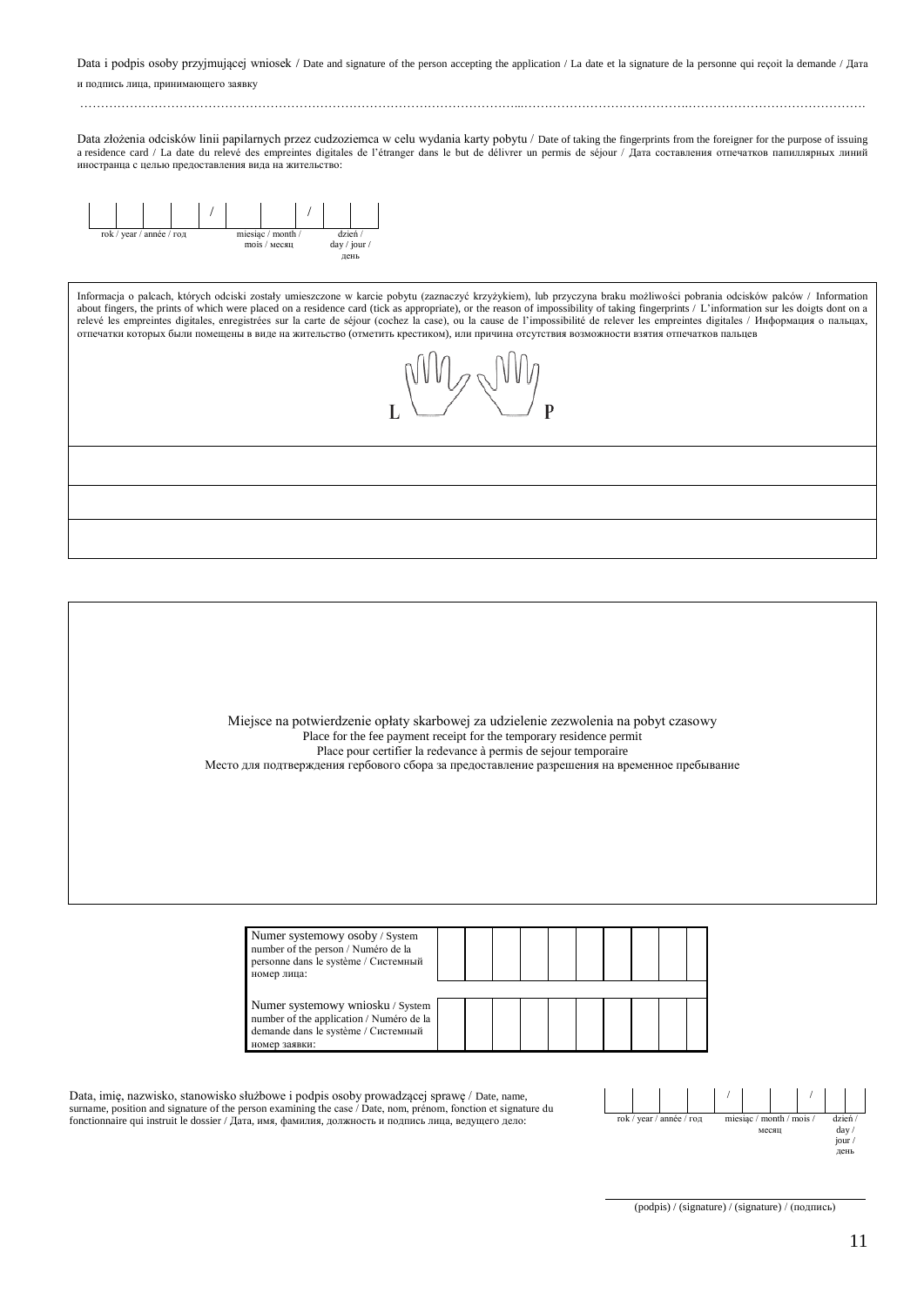Data i podpis osoby przyjmującej wniosek / Date and signature of the person accepting the application / La date et la signature de la personne qui reçoit la demande / Дата и подпись лица, принимающего заявку

……………………………………………………………………………………………...………………………………….……………………………………. Data złożenia odcisków linii papilarnych przez cudzoziemca w celu wydania karty pobytu / Date of taking the fingerprints from the foreigner for the purpose of issuing

a residence card / La date du relevé des empreintes digitales de l'étranger dans le but de délivrer un permis de séjour / Дата составления отпечатков папиллярных линий иностранца с целью предоставления вида на жительство:



Informacja o palcach, których odciski zostały umieszczone w karcie pobytu (zaznaczyć krzyżykiem), lub przyczyna braku możliwości pobrania odcisków palców / Information about fingers, the prints of which were placed on a residence card (tick as appropriate), or the reason of impossibility of taking fingerprints / L'information sur les doigts dont on a relevé les empreintes digitales, enregistrées sur la carte de séjour (cochez la case), ou la cause de l'impossibilité de relever les empreintes digitales / Информация о пальцах, отпечатки которых были помещены в виде на жительство (отметить крестиком), или причина отсутствия возможности взятия отпечатков пальцев



Miejsce na potwierdzenie opłaty skarbowej za udzielenie zezwolenia na pobyt czasowy Place for the fee payment receipt for the temporary residence permit Place pour certifier la redevance à permis de sejour temporaire Место для подтверждения гербового сбора за предоставление разрешения на временное пребывание

| Numer systemowy osoby / System<br>number of the person / Numéro de la<br>personne dans le système / Системный<br>номер лица:         |  |  |  |  |  |
|--------------------------------------------------------------------------------------------------------------------------------------|--|--|--|--|--|
| Numer systemowy wniosku / System<br>number of the application / Numéro de la<br>demande dans le système / Системный<br>номер заявки: |  |  |  |  |  |

Data, imię, nazwisko, stanowisko służbowe i podpis osoby prowadzącej sprawę / Date, name, surname, position and signature of the person examining the case / Date, nom, prénom, fonction et signature du fonctionnaire qui instruit le dossier / Дата, имя, фамилия, должность и подпись лица, ведущего дело:



(podpis) / (signature) / (signature) / (подпись)